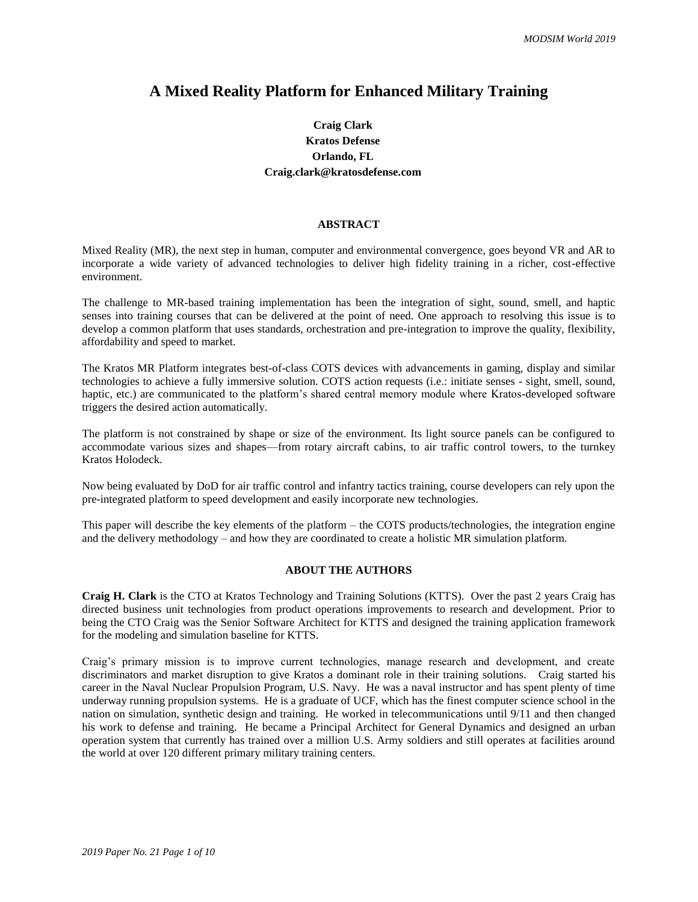## **A Mixed Reality Platform for Enhanced Military Training**

## **Craig Clark Kratos Defense Orlando, FL Craig.clark@kratosdefense.com**

## **ABSTRACT**

Mixed Reality (MR), the next step in human, computer and environmental convergence, goes beyond VR and AR to incorporate a wide variety of advanced technologies to deliver high fidelity training in a richer, cost-effective environment.

The challenge to MR-based training implementation has been the integration of sight, sound, smell, and haptic senses into training courses that can be delivered at the point of need. One approach to resolving this issue is to develop a common platform that uses standards, orchestration and pre-integration to improve the quality, flexibility, affordability and speed to market.

The Kratos MR Platform integrates best-of-class COTS devices with advancements in gaming, display and similar technologies to achieve a fully immersive solution. COTS action requests (i.e.: initiate senses - sight, smell, sound, haptic, etc.) are communicated to the platform's shared central memory module where Kratos-developed software triggers the desired action automatically.

The platform is not constrained by shape or size of the environment. Its light source panels can be configured to accommodate various sizes and shapes—from rotary aircraft cabins, to air traffic control towers, to the turnkey Kratos Holodeck.

Now being evaluated by DoD for air traffic control and infantry tactics training, course developers can rely upon the pre-integrated platform to speed development and easily incorporate new technologies.

This paper will describe the key elements of the platform – the COTS products/technologies, the integration engine and the delivery methodology – and how they are coordinated to create a holistic MR simulation platform.

## **ABOUT THE AUTHORS**

**Craig H. Clark** is the CTO at Kratos Technology and Training Solutions (KTTS). Over the past 2 years Craig has directed business unit technologies from product operations improvements to research and development. Prior to being the CTO Craig was the Senior Software Architect for KTTS and designed the training application framework for the modeling and simulation baseline for KTTS.

Craig's primary mission is to improve current technologies, manage research and development, and create discriminators and market disruption to give Kratos a dominant role in their training solutions. Craig started his career in the Naval Nuclear Propulsion Program, U.S. Navy. He was a naval instructor and has spent plenty of time underway running propulsion systems. He is a graduate of UCF, which has the finest computer science school in the nation on simulation, synthetic design and training. He worked in telecommunications until 9/11 and then changed his work to defense and training. He became a Principal Architect for General Dynamics and designed an urban operation system that currently has trained over a million U.S. Army soldiers and still operates at facilities around the world at over 120 different primary military training centers.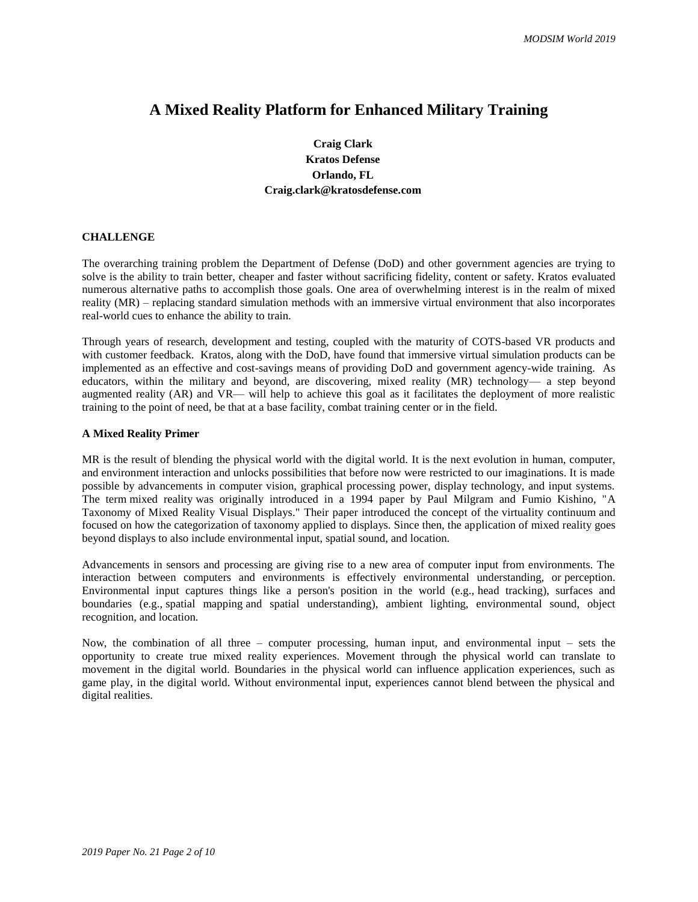# **A Mixed Reality Platform for Enhanced Military Training**

**Craig Clark Kratos Defense Orlando, FL Craig.clark@kratosdefense.com**

#### **CHALLENGE**

The overarching training problem the Department of Defense (DoD) and other government agencies are trying to solve is the ability to train better, cheaper and faster without sacrificing fidelity, content or safety. Kratos evaluated numerous alternative paths to accomplish those goals. One area of overwhelming interest is in the realm of mixed reality (MR) – replacing standard simulation methods with an immersive virtual environment that also incorporates real-world cues to enhance the ability to train.

Through years of research, development and testing, coupled with the maturity of COTS-based VR products and with customer feedback. Kratos, along with the DoD, have found that immersive virtual simulation products can be implemented as an effective and cost-savings means of providing DoD and government agency-wide training. As educators, within the military and beyond, are discovering, mixed reality (MR) technology— a step beyond augmented reality (AR) and VR— will help to achieve this goal as it facilitates the deployment of more realistic training to the point of need, be that at a base facility, combat training center or in the field.

#### **A Mixed Reality Primer**

MR is the result of blending the physical world with the digital world. It is the next evolution in human, computer, and environment interaction and unlocks possibilities that before now were restricted to our imaginations. It is made possible by advancements in computer vision, graphical processing power, display technology, and input systems. The term mixed reality was originally introduced in a 1994 paper by Paul Milgram and Fumio Kishino, "A Taxonomy of Mixed Reality Visual Displays." Their paper introduced the concept of the virtuality continuum and focused on how the categorization of taxonomy applied to displays. Since then, the application of mixed reality goes beyond displays to also include environmental input, spatial sound, and location.

Advancements in sensors and processing are giving rise to a new area of computer input from environments. The interaction between computers and environments is effectively environmental understanding, or perception. Environmental input captures things like a person's position in the world (e.g., head tracking), surfaces and boundaries (e.g., spatial mapping and spatial understanding), ambient lighting, environmental sound, object recognition, and location.

Now, the combination of all three – computer processing, human input, and environmental input – sets the opportunity to create true mixed reality experiences. Movement through the physical world can translate to movement in the digital world. Boundaries in the physical world can influence application experiences, such as game play, in the digital world. Without environmental input, experiences cannot blend between the physical and digital realities.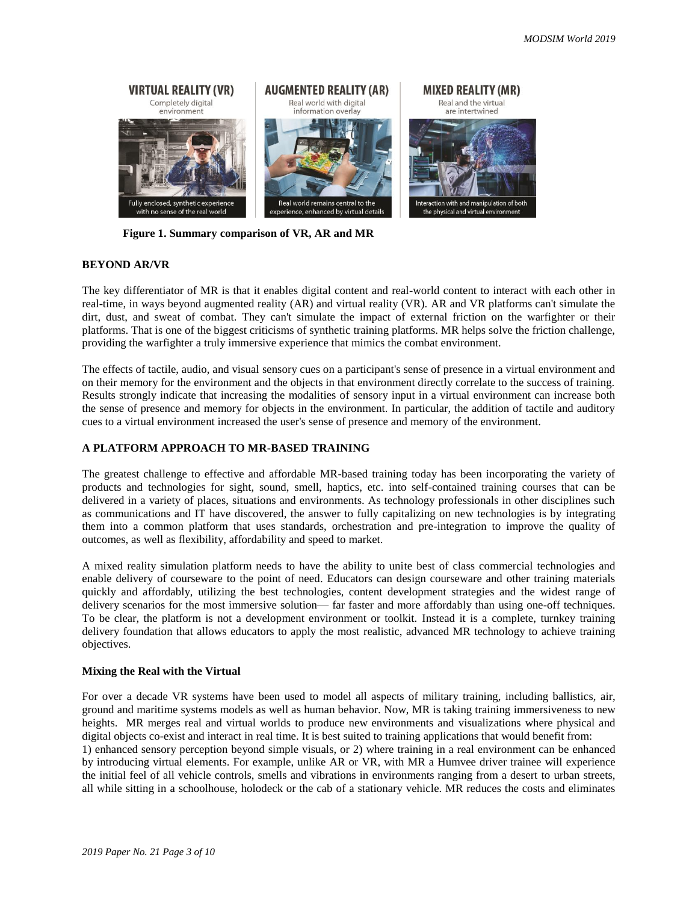

**Figure 1. Summary comparison of VR, AR and MR** 

#### **BEYOND AR/VR**

The key differentiator of MR is that it enables digital content and real-world content to interact with each other in real-time, in ways beyond augmented reality (AR) and virtual reality (VR). AR and VR platforms can't simulate the dirt, dust, and sweat of combat. They can't simulate the impact of external friction on the warfighter or their platforms. That is one of the biggest criticisms of synthetic training platforms. MR helps solve the friction challenge, providing the warfighter a truly immersive experience that mimics the combat environment.

The effects of tactile, audio, and visual sensory cues on a participant's sense of presence in a virtual environment and on their memory for the environment and the objects in that environment directly correlate to the success of training. Results strongly indicate that increasing the modalities of sensory input in a virtual environment can increase both the sense of presence and memory for objects in the environment. In particular, the addition of tactile and auditory cues to a virtual environment increased the user's sense of presence and memory of the environment.

## **A PLATFORM APPROACH TO MR-BASED TRAINING**

The greatest challenge to effective and affordable MR-based training today has been incorporating the variety of products and technologies for sight, sound, smell, haptics, etc. into self-contained training courses that can be delivered in a variety of places, situations and environments. As technology professionals in other disciplines such as communications and IT have discovered, the answer to fully capitalizing on new technologies is by integrating them into a common platform that uses standards, orchestration and pre-integration to improve the quality of outcomes, as well as flexibility, affordability and speed to market.

A mixed reality simulation platform needs to have the ability to unite best of class commercial technologies and enable delivery of courseware to the point of need. Educators can design courseware and other training materials quickly and affordably, utilizing the best technologies, content development strategies and the widest range of delivery scenarios for the most immersive solution— far faster and more affordably than using one-off techniques. To be clear, the platform is not a development environment or toolkit. Instead it is a complete, turnkey training delivery foundation that allows educators to apply the most realistic, advanced MR technology to achieve training objectives.

#### **Mixing the Real with the Virtual**

For over a decade VR systems have been used to model all aspects of military training, including ballistics, air, ground and maritime systems models as well as human behavior. Now, MR is taking training immersiveness to new heights. MR merges real and virtual worlds to produce new environments and visualizations where physical and digital objects co-exist and interact in real time. It is best suited to training applications that would benefit from: 1) enhanced sensory perception beyond simple visuals, or 2) where training in a real environment can be enhanced by introducing virtual elements. For example, unlike AR or VR, with MR a Humvee driver trainee will experience the initial feel of all vehicle controls, smells and vibrations in environments ranging from a desert to urban streets, all while sitting in a schoolhouse, holodeck or the cab of a stationary vehicle. MR reduces the costs and eliminates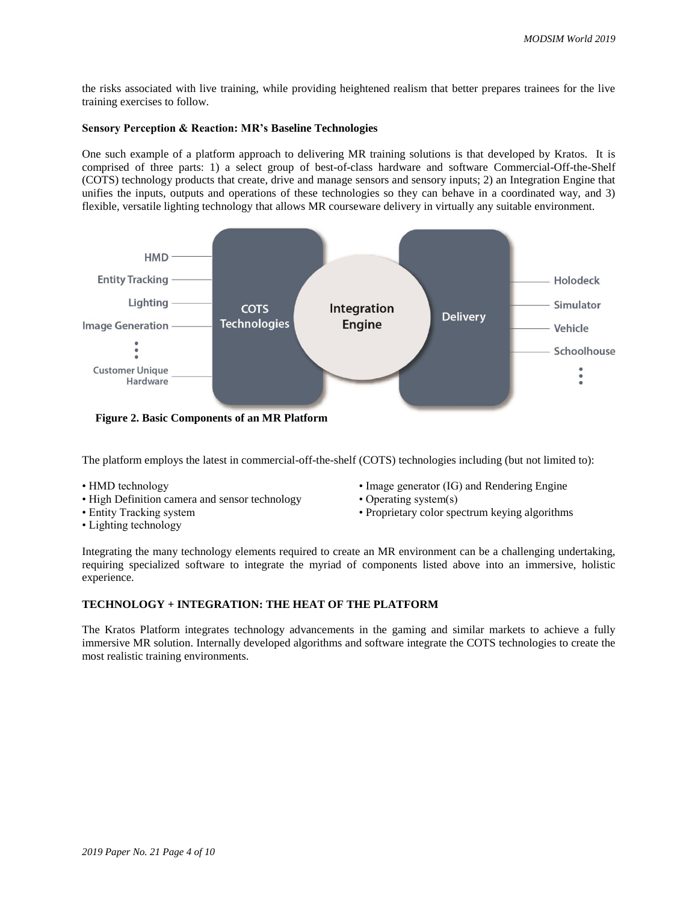the risks associated with live training, while providing heightened realism that better prepares trainees for the live training exercises to follow.

#### **Sensory Perception & Reaction: MR's Baseline Technologies**

One such example of a platform approach to delivering MR training solutions is that developed by Kratos. It is comprised of three parts: 1) a select group of best-of-class hardware and software Commercial-Off-the-Shelf (COTS) technology products that create, drive and manage sensors and sensory inputs; 2) an Integration Engine that unifies the inputs, outputs and operations of these technologies so they can behave in a coordinated way, and 3) flexible, versatile lighting technology that allows MR courseware delivery in virtually any suitable environment.



**Figure 2. Basic Components of an MR Platform**

The platform employs the latest in commercial-off-the-shelf (COTS) technologies including (but not limited to):

- HMD technology
- High Definition camera and sensor technology
- Entity Tracking system
- Image generator (IG) and Rendering Engine • Operating system(s)
	- Proprietary color spectrum keying algorithms

• Lighting technology

Integrating the many technology elements required to create an MR environment can be a challenging undertaking, requiring specialized software to integrate the myriad of components listed above into an immersive, holistic experience.

## **TECHNOLOGY + INTEGRATION: THE HEAT OF THE PLATFORM**

The Kratos Platform integrates technology advancements in the gaming and similar markets to achieve a fully immersive MR solution. Internally developed algorithms and software integrate the COTS technologies to create the most realistic training environments.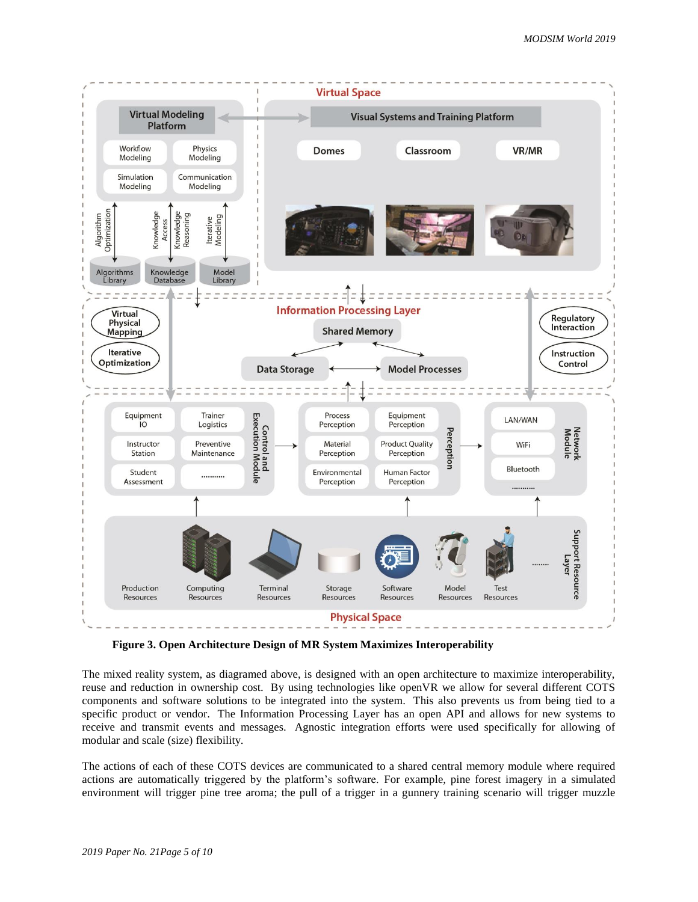

**Figure 3. Open Architecture Design of MR System Maximizes Interoperability** 

The mixed reality system, as diagramed above, is designed with an open architecture to maximize interoperability, reuse and reduction in ownership cost. By using technologies like openVR we allow for several different COTS components and software solutions to be integrated into the system. This also prevents us from being tied to a specific product or vendor. The Information Processing Layer has an open API and allows for new systems to receive and transmit events and messages. Agnostic integration efforts were used specifically for allowing of modular and scale (size) flexibility.

The actions of each of these COTS devices are communicated to a shared central memory module where required actions are automatically triggered by the platform's software. For example, pine forest imagery in a simulated environment will trigger pine tree aroma; the pull of a trigger in a gunnery training scenario will trigger muzzle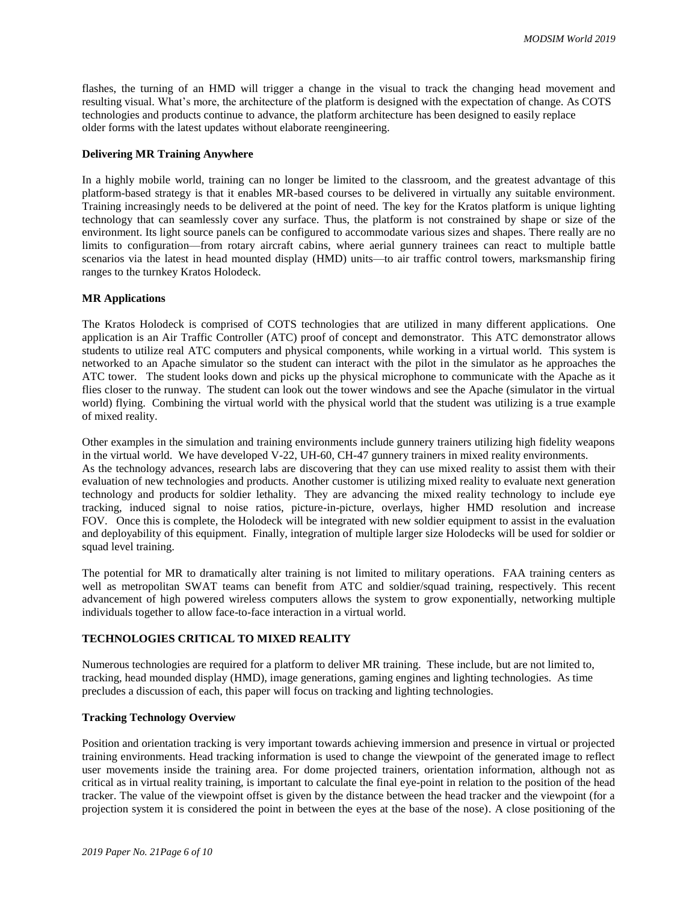flashes, the turning of an HMD will trigger a change in the visual to track the changing head movement and resulting visual. What's more, the architecture of the platform is designed with the expectation of change. As COTS technologies and products continue to advance, the platform architecture has been designed to easily replace older forms with the latest updates without elaborate reengineering.

#### **Delivering MR Training Anywhere**

In a highly mobile world, training can no longer be limited to the classroom, and the greatest advantage of this platform-based strategy is that it enables MR-based courses to be delivered in virtually any suitable environment. Training increasingly needs to be delivered at the point of need. The key for the Kratos platform is unique lighting technology that can seamlessly cover any surface. Thus, the platform is not constrained by shape or size of the environment. Its light source panels can be configured to accommodate various sizes and shapes. There really are no limits to configuration—from rotary aircraft cabins, where aerial gunnery trainees can react to multiple battle scenarios via the latest in head mounted display (HMD) units—to air traffic control towers, marksmanship firing ranges to the turnkey Kratos Holodeck.

#### **MR Applications**

The Kratos Holodeck is comprised of COTS technologies that are utilized in many different applications. One application is an Air Traffic Controller (ATC) proof of concept and demonstrator. This ATC demonstrator allows students to utilize real ATC computers and physical components, while working in a virtual world. This system is networked to an Apache simulator so the student can interact with the pilot in the simulator as he approaches the ATC tower. The student looks down and picks up the physical microphone to communicate with the Apache as it flies closer to the runway. The student can look out the tower windows and see the Apache (simulator in the virtual world) flying. Combining the virtual world with the physical world that the student was utilizing is a true example of mixed reality.

Other examples in the simulation and training environments include gunnery trainers utilizing high fidelity weapons in the virtual world. We have developed V-22, UH-60, CH-47 gunnery trainers in mixed reality environments. As the technology advances, research labs are discovering that they can use mixed reality to assist them with their evaluation of new technologies and products. Another customer is utilizing mixed reality to evaluate next generation technology and products for soldier lethality. They are advancing the mixed reality technology to include eye tracking, induced signal to noise ratios, picture-in-picture, overlays, higher HMD resolution and increase FOV. Once this is complete, the Holodeck will be integrated with new soldier equipment to assist in the evaluation and deployability of this equipment. Finally, integration of multiple larger size Holodecks will be used for soldier or squad level training.

The potential for MR to dramatically alter training is not limited to military operations. FAA training centers as well as metropolitan SWAT teams can benefit from ATC and soldier/squad training, respectively. This recent advancement of high powered wireless computers allows the system to grow exponentially, networking multiple individuals together to allow face-to-face interaction in a virtual world.

## **TECHNOLOGIES CRITICAL TO MIXED REALITY**

Numerous technologies are required for a platform to deliver MR training. These include, but are not limited to, tracking, head mounded display (HMD), image generations, gaming engines and lighting technologies. As time precludes a discussion of each, this paper will focus on tracking and lighting technologies.

## **Tracking Technology Overview**

Position and orientation tracking is very important towards achieving immersion and presence in virtual or projected training environments. Head tracking information is used to change the viewpoint of the generated image to reflect user movements inside the training area. For dome projected trainers, orientation information, although not as critical as in virtual reality training, is important to calculate the final eye-point in relation to the position of the head tracker. The value of the viewpoint offset is given by the distance between the head tracker and the viewpoint (for a projection system it is considered the point in between the eyes at the base of the nose). A close positioning of the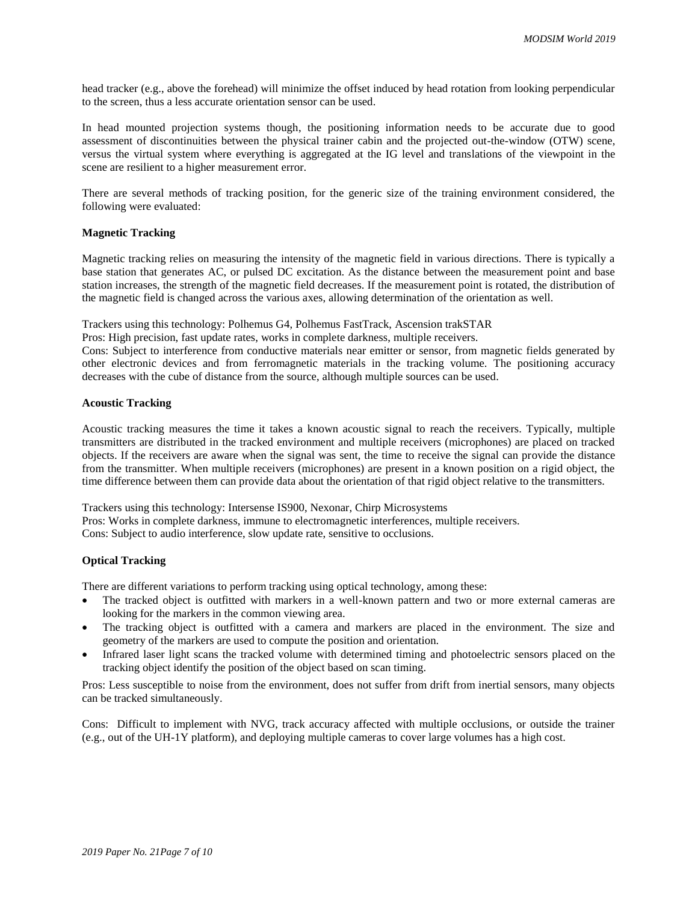head tracker (e.g., above the forehead) will minimize the offset induced by head rotation from looking perpendicular to the screen, thus a less accurate orientation sensor can be used.

In head mounted projection systems though, the positioning information needs to be accurate due to good assessment of discontinuities between the physical trainer cabin and the projected out-the-window (OTW) scene, versus the virtual system where everything is aggregated at the IG level and translations of the viewpoint in the scene are resilient to a higher measurement error.

There are several methods of tracking position, for the generic size of the training environment considered, the following were evaluated:

## **Magnetic Tracking**

Magnetic tracking relies on measuring the intensity of the magnetic field in various directions. There is typically a base station that generates AC, or pulsed DC excitation. As the distance between the measurement point and base station increases, the strength of the magnetic field decreases. If the measurement point is rotated, the distribution of the magnetic field is changed across the various axes, allowing determination of the orientation as well.

Trackers using this technology: Polhemus G4, Polhemus FastTrack, Ascension trakSTAR

Pros: High precision, fast update rates, works in complete darkness, multiple receivers.

Cons: Subject to interference from conductive materials near emitter or sensor, from magnetic fields generated by other electronic devices and from ferromagnetic materials in the tracking volume. The positioning accuracy decreases with the cube of distance from the source, although multiple sources can be used.

#### **Acoustic Tracking**

Acoustic tracking measures the time it takes a known acoustic signal to reach the receivers. Typically, multiple transmitters are distributed in the tracked environment and multiple receivers (microphones) are placed on tracked objects. If the receivers are aware when the signal was sent, the time to receive the signal can provide the distance from the transmitter. When multiple receivers (microphones) are present in a known position on a rigid object, the time difference between them can provide data about the orientation of that rigid object relative to the transmitters.

Trackers using this technology: Intersense IS900, Nexonar, Chirp Microsystems Pros: Works in complete darkness, immune to electromagnetic interferences, multiple receivers. Cons: Subject to audio interference, slow update rate, sensitive to occlusions.

## **Optical Tracking**

There are different variations to perform tracking using optical technology, among these:

- The tracked object is outfitted with markers in a well-known pattern and two or more external cameras are looking for the markers in the common viewing area.
- The tracking object is outfitted with a camera and markers are placed in the environment. The size and geometry of the markers are used to compute the position and orientation.
- Infrared laser light scans the tracked volume with determined timing and photoelectric sensors placed on the tracking object identify the position of the object based on scan timing.

Pros: Less susceptible to noise from the environment, does not suffer from drift from inertial sensors, many objects can be tracked simultaneously.

Cons: Difficult to implement with NVG, track accuracy affected with multiple occlusions, or outside the trainer (e.g., out of the UH-1Y platform), and deploying multiple cameras to cover large volumes has a high cost.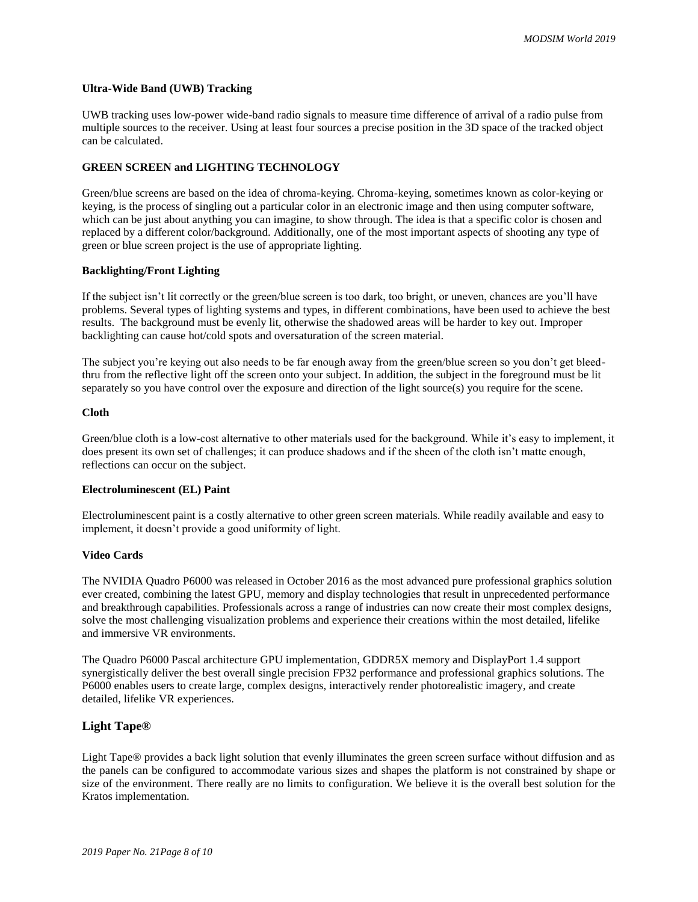#### **Ultra-Wide Band (UWB) Tracking**

UWB tracking uses low-power wide-band radio signals to measure time difference of arrival of a radio pulse from multiple sources to the receiver. Using at least four sources a precise position in the 3D space of the tracked object can be calculated.

## **GREEN SCREEN and LIGHTING TECHNOLOGY**

Green/blue screens are based on the idea of chroma-keying. Chroma-keying, sometimes known as color-keying or keying, is the process of singling out a particular color in an electronic image and then using computer software, which can be just about anything you can imagine, to show through. The idea is that a specific color is chosen and replaced by a different color/background. Additionally, one of the most important aspects of shooting any type of green or blue screen project is the use of appropriate lighting.

#### **Backlighting/Front Lighting**

If the subject isn't lit correctly or the green/blue screen is too dark, too bright, or uneven, chances are you'll have problems. Several types of lighting systems and types, in different combinations, have been used to achieve the best results. The background must be evenly lit, otherwise the shadowed areas will be harder to key out. Improper backlighting can cause hot/cold spots and oversaturation of the screen material.

The subject you're keying out also needs to be far enough away from the green/blue screen so you don't get bleedthru from the reflective light off the screen onto your subject. In addition, the subject in the foreground must be lit separately so you have control over the exposure and direction of the light source(s) you require for the scene.

## **Cloth**

Green/blue cloth is a low-cost alternative to other materials used for the background. While it's easy to implement, it does present its own set of challenges; it can produce shadows and if the sheen of the cloth isn't matte enough, reflections can occur on the subject.

#### **Electroluminescent (EL) Paint**

Electroluminescent paint is a costly alternative to other green screen materials. While readily available and easy to implement, it doesn't provide a good uniformity of light.

## **Video Cards**

The NVIDIA Quadro P6000 was released in October 2016 as the most advanced pure professional graphics solution ever created, combining the latest GPU, memory and display technologies that result in unprecedented performance and breakthrough capabilities. Professionals across a range of industries can now create their most complex designs, solve the most challenging visualization problems and experience their creations within the most detailed, lifelike and immersive VR environments.

The Quadro P6000 Pascal architecture GPU implementation, GDDR5X memory and DisplayPort 1.4 support synergistically deliver the best overall single precision FP32 performance and professional graphics solutions. The P6000 enables users to create large, complex designs, interactively render photorealistic imagery, and create detailed, lifelike VR experiences.

## **Light Tape®**

Light Tape® provides a back light solution that evenly illuminates the green screen surface without diffusion and as the panels can be configured to accommodate various sizes and shapes the platform is not constrained by shape or size of the environment. There really are no limits to configuration. We believe it is the overall best solution for the Kratos implementation.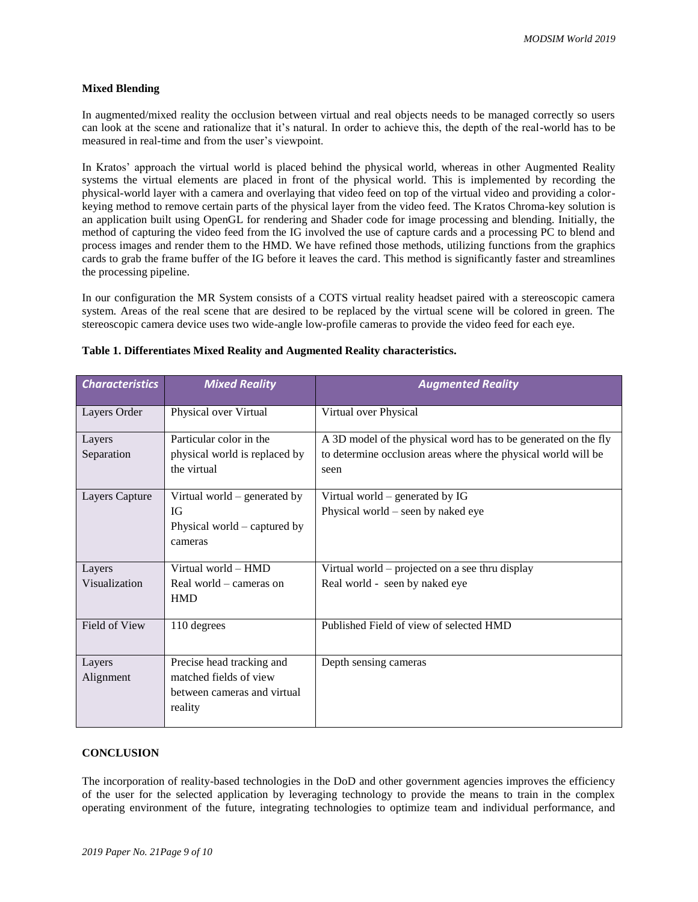## **Mixed Blending**

In augmented/mixed reality the occlusion between virtual and real objects needs to be managed correctly so users can look at the scene and rationalize that it's natural. In order to achieve this, the depth of the real-world has to be measured in real-time and from the user's viewpoint.

In Kratos' approach the virtual world is placed behind the physical world, whereas in other Augmented Reality systems the virtual elements are placed in front of the physical world. This is implemented by recording the physical-world layer with a camera and overlaying that video feed on top of the virtual video and providing a colorkeying method to remove certain parts of the physical layer from the video feed. The Kratos Chroma-key solution is an application built using OpenGL for rendering and Shader code for image processing and blending. Initially, the method of capturing the video feed from the IG involved the use of capture cards and a processing PC to blend and process images and render them to the HMD. We have refined those methods, utilizing functions from the graphics cards to grab the frame buffer of the IG before it leaves the card. This method is significantly faster and streamlines the processing pipeline.

In our configuration the MR System consists of a COTS virtual reality headset paired with a stereoscopic camera system. Areas of the real scene that are desired to be replaced by the virtual scene will be colored in green. The stereoscopic camera device uses two wide-angle low-profile cameras to provide the video feed for each eye.

| <b>Characteristics</b>  | <b>Mixed Reality</b>                                                                          | <b>Augmented Reality</b>                                                                                                                |
|-------------------------|-----------------------------------------------------------------------------------------------|-----------------------------------------------------------------------------------------------------------------------------------------|
| Layers Order            | Physical over Virtual                                                                         | Virtual over Physical                                                                                                                   |
| Layers<br>Separation    | Particular color in the<br>physical world is replaced by<br>the virtual                       | A 3D model of the physical word has to be generated on the fly<br>to determine occlusion areas where the physical world will be<br>seen |
| Layers Capture          | Virtual world – generated by<br>IG<br>Physical world – captured by<br>cameras                 | Virtual world – generated by IG<br>Physical world – seen by naked eye                                                                   |
| Layers<br>Visualization | Virtual world - HMD<br>Real world – cameras on<br><b>HMD</b>                                  | Virtual world - projected on a see thru display<br>Real world - seen by naked eye                                                       |
| Field of View           | 110 degrees                                                                                   | Published Field of view of selected HMD                                                                                                 |
| Layers<br>Alignment     | Precise head tracking and<br>matched fields of view<br>between cameras and virtual<br>reality | Depth sensing cameras                                                                                                                   |

#### **Table 1. Differentiates Mixed Reality and Augmented Reality characteristics.**

## **CONCLUSION**

The incorporation of reality-based technologies in the DoD and other government agencies improves the efficiency of the user for the selected application by leveraging technology to provide the means to train in the complex operating environment of the future, integrating technologies to optimize team and individual performance, and